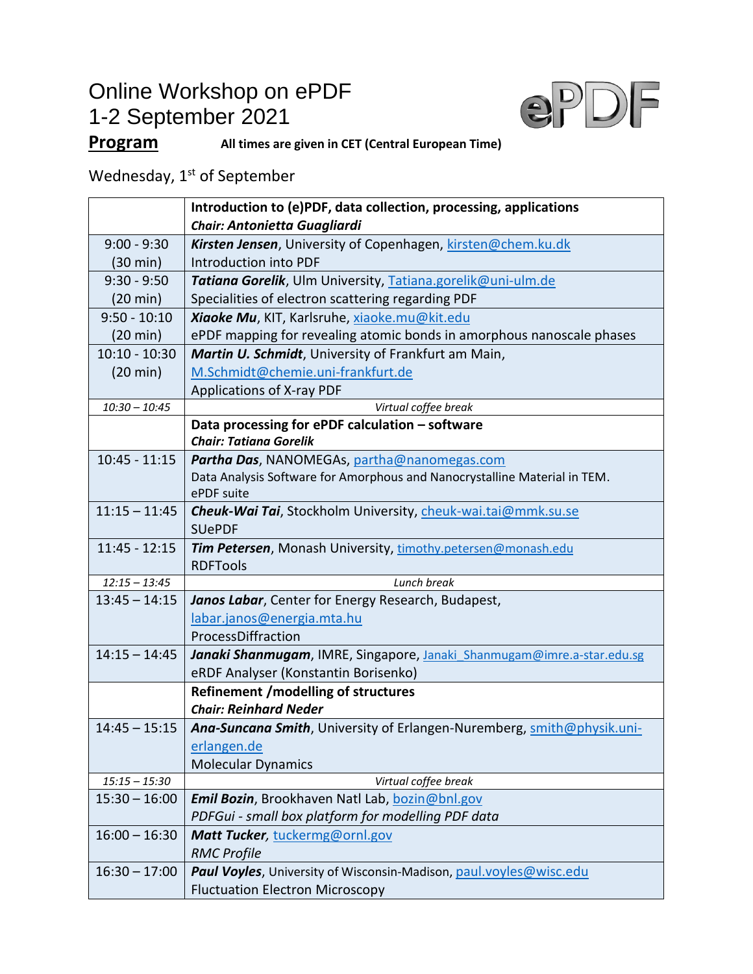## Online Workshop on ePDF 1-2 September 2021



## **Program All times are given in CET (Central European Time)**

Wednesday,  $1<sup>st</sup>$  of September

|                    | Introduction to (e)PDF, data collection, processing, applications          |
|--------------------|----------------------------------------------------------------------------|
|                    | Chair: Antonietta Guagliardi                                               |
| $9:00 - 9:30$      | Kirsten Jensen, University of Copenhagen, kirsten@chem.ku.dk               |
| $(30 \text{ min})$ | <b>Introduction into PDF</b>                                               |
| $9:30 - 9:50$      | Tatiana Gorelik, Ulm University, Tatiana.gorelik@uni-ulm.de                |
| $(20 \text{ min})$ | Specialities of electron scattering regarding PDF                          |
| $9:50 - 10:10$     | Xiaoke Mu, KIT, Karlsruhe, xiaoke.mu@kit.edu                               |
| $(20 \text{ min})$ | ePDF mapping for revealing atomic bonds in amorphous nanoscale phases      |
| $10:10 - 10:30$    | Martin U. Schmidt, University of Frankfurt am Main,                        |
| $(20 \text{ min})$ | M.Schmidt@chemie.uni-frankfurt.de                                          |
|                    | Applications of X-ray PDF                                                  |
| $10:30 - 10:45$    | Virtual coffee break                                                       |
|                    | Data processing for ePDF calculation - software                            |
|                    | <b>Chair: Tatiana Gorelik</b>                                              |
| $10:45 - 11:15$    | Partha Das, NANOMEGAs, partha@nanomegas.com                                |
|                    | Data Analysis Software for Amorphous and Nanocrystalline Material in TEM.  |
|                    | ePDF suite                                                                 |
| $11:15 - 11:45$    | Cheuk-Wai Tai, Stockholm University, cheuk-wai.tai@mmk.su.se               |
|                    | <b>SUePDF</b>                                                              |
| $11:45 - 12:15$    | Tim Petersen, Monash University, timothy.petersen@monash.edu               |
| $12:15 - 13:45$    | <b>RDFTools</b><br>Lunch break                                             |
| $13:45 - 14:15$    | Janos Labar, Center for Energy Research, Budapest,                         |
|                    | labar.janos@energia.mta.hu                                                 |
|                    | ProcessDiffraction                                                         |
| $14:15 - 14:45$    | Janaki Shanmugam, IMRE, Singapore, Janaki Shanmugam@imre.a-star.edu.sg     |
|                    | eRDF Analyser (Konstantin Borisenko)                                       |
|                    | <b>Refinement /modelling of structures</b>                                 |
|                    | <b>Chair: Reinhard Neder</b>                                               |
| $14:45 - 15:15$    | Ana-Suncana Smith, University of Erlangen-Nuremberg, smith@physik.uni-     |
|                    | erlangen.de                                                                |
|                    | <b>Molecular Dynamics</b>                                                  |
| $15:15 - 15:30$    | Virtual coffee break                                                       |
| $15:30 - 16:00$    | Emil Bozin, Brookhaven Natl Lab, bozin@bnl.gov                             |
|                    | PDFGui - small box platform for modelling PDF data                         |
| $16:00 - 16:30$    | Matt Tucker, tuckermg@ornl.gov                                             |
|                    | <b>RMC Profile</b>                                                         |
| $16:30 - 17:00$    | <b>Paul Voyles</b> , University of Wisconsin-Madison, paul.voyles@wisc.edu |
|                    | <b>Fluctuation Electron Microscopy</b>                                     |